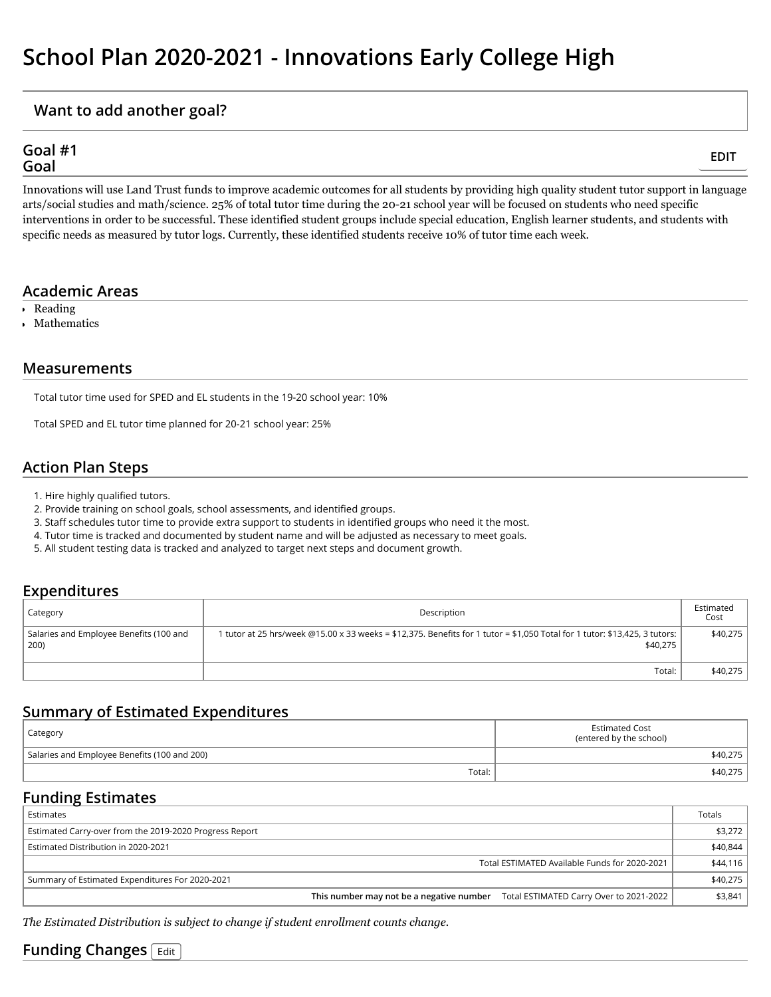### **Want to add another goal?**

#### **Goal #1 Goal**

**[EDIT](https://secure.utah.gov/slt-admin/school/plan/editGoal.html?goalId=43015)**

Innovations will use Land Trust funds to improve academic outcomes for all students by providing high quality student tutor support in language arts/social studies and math/science. 25% of total tutor time during the 20-21 school year will be focused on students who need specific interventions in order to be successful. These identified student groups include special education, English learner students, and students with specific needs as measured by tutor logs. Currently, these identified students receive 10% of tutor time each week.

### **Academic Areas**

- Reading
- Mathematics

### **Measurements**

Total tutor time used for SPED and EL students in the 19-20 school year: 10%

Total SPED and EL tutor time planned for 20-21 school year: 25%

### **Action Plan Steps**

- 1. Hire highly qualified tutors.
- 2. Provide training on school goals, school assessments, and identified groups.
- 3. Staff schedules tutor time to provide extra support to students in identified groups who need it the most.
- 4. Tutor time is tracked and documented by student name and will be adjusted as necessary to meet goals.
- 5. All student testing data is tracked and analyzed to target next steps and document growth.

### **Expenditures**

| Category                                        | Description                                                                                                                            | Estimated<br>Cost |
|-------------------------------------------------|----------------------------------------------------------------------------------------------------------------------------------------|-------------------|
| Salaries and Employee Benefits (100 and<br>200) | l tutor at 25 hrs/week @15.00 x 33 weeks = \$12,375. Benefits for 1 tutor = \$1,050 Total for 1 tutor: \$13,425, 3 tutors:<br>\$40.275 | \$40.275          |
|                                                 | Total:                                                                                                                                 | \$40,275          |

# **Summary of Estimated Expenditures**

| Category                                     | <b>Estimated Cost</b><br>(entered by the school) |  |
|----------------------------------------------|--------------------------------------------------|--|
| Salaries and Employee Benefits (100 and 200) | \$40,275                                         |  |
| Total:                                       | \$40,275                                         |  |

### **Funding Estimates**

| Estimates                                                                        | Totals   |
|----------------------------------------------------------------------------------|----------|
| Estimated Carry-over from the 2019-2020 Progress Report                          | \$3.272  |
| Estimated Distribution in 2020-2021                                              | \$40,844 |
| Total ESTIMATED Available Funds for 2020-2021                                    | \$44,116 |
| Summary of Estimated Expenditures For 2020-2021                                  | \$40,275 |
| This number may not be a negative number Total ESTIMATED Carry Over to 2021-2022 | \$3,841  |

*The Estimated Distribution is subject to change if student enrollment counts change.*

# **Funding Changes [Edit](https://secure.utah.gov/slt-admin/school/plan/increasedDistribution.html)**